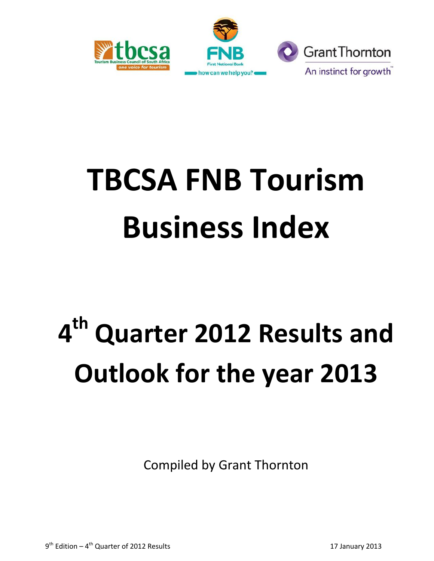



# **TBCSA FNB Tourism Business Index**

# **4 th Quarter 2012 Results and Outlook for the year 2013**

Compiled by Grant Thornton

9<sup>th</sup> Edition – 4<sup>th</sup> Quarter of 2012 Results 17 January 2013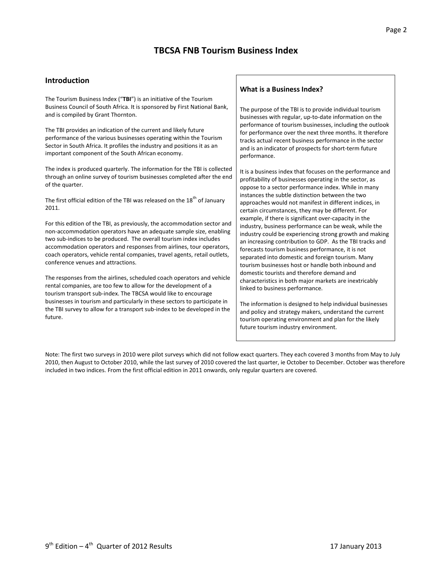# **TBCSA FNB Tourism Business Index**

#### **Introduction**

The Tourism Business Index ("**TBI**") is an initiative of the Tourism Business Council of South Africa. It is sponsored by First National Bank, and is compiled by Grant Thornton.

The TBI provides an indication of the current and likely future performance of the various businesses operating within the Tourism Sector in South Africa. It profiles the industry and positions it as an important component of the South African economy.

The index is produced quarterly. The information for the TBI is collected through an online survey of tourism businesses completed after the end of the quarter.

The first official edition of the TBI was released on the 18<sup>th</sup> of January 2011.

For this edition of the TBI, as previously, the accommodation sector and non-accommodation operators have an adequate sample size, enabling two sub-indices to be produced. The overall tourism index includes accommodation operators and responses from airlines, tour operators, coach operators, vehicle rental companies, travel agents, retail outlets, conference venues and attractions.

The responses from the airlines, scheduled coach operators and vehicle rental companies, are too few to allow for the development of a tourism transport sub-index. The TBCSA would like to encourage businesses in tourism and particularly in these sectors to participate in the TBI survey to allow for a transport sub-index to be developed in the future.

#### **What is a Business Index?**

The purpose of the TBI is to provide individual tourism businesses with regular, up-to-date information on the performance of tourism businesses, including the outlook for performance over the next three months. It therefore tracks actual recent business performance in the sector and is an indicator of prospects for short-term future performance.

It is a business index that focuses on the performance and profitability of businesses operating in the sector, as oppose to a sector performance index. While in many instances the subtle distinction between the two approaches would not manifest in different indices, in certain circumstances, they may be different. For example, if there is significant over-capacity in the industry, business performance can be weak, while the industry could be experiencing strong growth and making an increasing contribution to GDP. As the TBI tracks and forecasts tourism business performance, it is not separated into domestic and foreign tourism. Many tourism businesses host or handle both inbound and domestic tourists and therefore demand and characteristics in both major markets are inextricably linked to business performance.

The information is designed to help individual businesses and policy and strategy makers, understand the current tourism operating environment and plan for the likely future tourism industry environment.

Note: The first two surveys in 2010 were pilot surveys which did not follow exact quarters. They each covered 3 months from May to July 2010, then August to October 2010, while the last survey of 2010 covered the last quarter, ie October to December. October was therefore included in two indices. From the first official edition in 2011 onwards, only regular quarters are covered.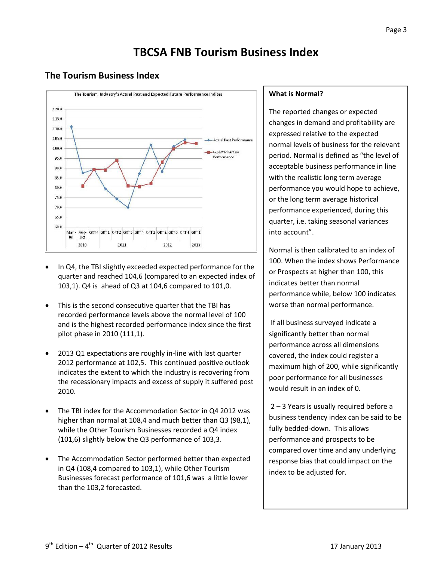# **TBCSA FNB Tourism Business Index**

## **The Tourism Business Index**



- In Q4, the TBI slightly exceeded expected performance for the quarter and reached 104,6 (compared to an expected index of 103,1). Q4 is ahead of Q3 at 104,6 compared to 101,0.
- This is the second consecutive quarter that the TBI has recorded performance levels above the normal level of 100 and is the highest recorded performance index since the first pilot phase in 2010 (111,1).
- 2013 Q1 expectations are roughly in-line with last quarter 2012 performance at 102,5. This continued positive outlook indicates the extent to which the industry is recovering from the recessionary impacts and excess of supply it suffered post 2010.
- The TBI index for the Accommodation Sector in Q4 2012 was higher than normal at 108,4 and much better than Q3 (98,1), while the Other Tourism Businesses recorded a Q4 index (101,6) slightly below the Q3 performance of 103,3.
- The Accommodation Sector performed better than expected in Q4 (108,4 compared to 103,1), while Other Tourism Businesses forecast performance of 101,6 was a little lower than the 103,2 forecasted.

#### **What is Normal?**

The reported changes or expected changes in demand and profitability are expressed relative to the expected normal levels of business for the relevant period. Normal is defined as "the level of acceptable business performance in line with the realistic long term average performance you would hope to achieve, or the long term average historical performance experienced, during this quarter, i.e. taking seasonal variances into account".

Normal is then calibrated to an index of 100. When the index shows Performance or Prospects at higher than 100, this indicates better than normal performance while, below 100 indicates worse than normal performance.

If all business surveyed indicate a significantly better than normal performance across all dimensions covered, the index could register a maximum high of 200, while significantly poor performance for all businesses would result in an index of 0.

2 – 3 Years is usually required before a business tendency index can be said to be fully bedded-down. This allows performance and prospects to be compared over time and any underlying response bias that could impact on the index to be adjusted for.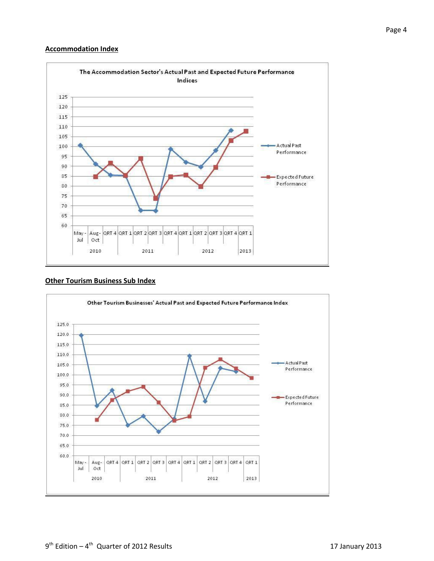#### **Accommodation Index**



#### **Other Tourism Business Sub Index**

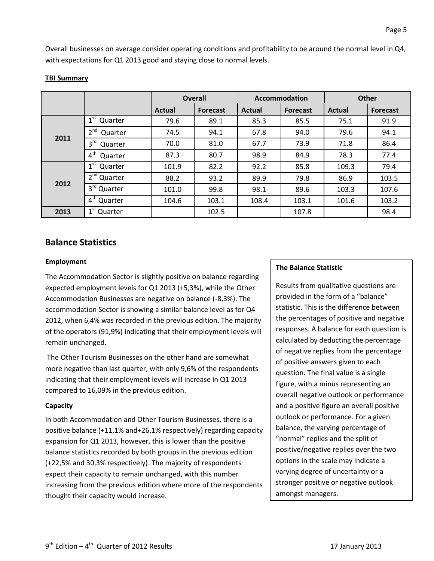Overall businesses on average consider operating conditions and profitability to be around the normal level in Q4, with expectations for Q1 2013 good and staying close to normal levels.

|      |                            | <b>Overall</b> |                 | Accommodation |                 | <b>Other</b> |                 |
|------|----------------------------|----------------|-----------------|---------------|-----------------|--------------|-----------------|
|      |                            | Actual         | <b>Forecast</b> | <b>Actual</b> | <b>Forecast</b> | Actual       | <b>Forecast</b> |
| 2011 | 1 <sup>st</sup><br>Quarter | 79.6           | 89.1            | 85.3          | 85.5            | 75.1         | 91.9            |
|      | 2 <sup>nd</sup><br>Quarter | 74.5           | 94.1            | 67.8          | 94.0            | 79.6         | 94.1            |
|      | 3 <sup>rd</sup><br>Quarter | 70.0           | 81.0            | 67.7          | 73.9            | 71.8         | 86.4            |
|      | $4^{\text{th}}$<br>Quarter | 87.3           | 80.7            | 98.9          | 84.9            | 78.3         | 77.4            |
| 2012 | $1^{\rm st}$<br>Quarter    | 101.9          | 82.2            | 92.2          | 85.8            | 109.3        | 79.4            |
|      | $2nd$ Quarter              | 88.2           | 93.2            | 89.9          | 79.8            | 86.9         | 103.5           |
|      | 3 <sup>rd</sup> Quarter    | 101.0          | 99.8            | 98.1          | 89.6            | 103.3        | 107.6           |
|      | 4 <sup>th</sup> Quarter    | 104.6          | 103.1           | 108.4         | 103.1           | 101.6        | 103.2           |
| 2013 | 1 <sup>st</sup> Quarter    |                | 102.5           |               | 107.8           |              | 98.4            |

#### **TBI Summary**

### **Balance Statistics**

#### **Employment**

The Accommodation Sector is slightly positive on balance regarding expected employment levels for Q1 2013 (+5,3%), while the Other Accommodation Businesses are negative on balance (-8,3%). The accommodation Sector is showing a similar balance level as for Q4 2012, when 6,4% was recorded in the previous edition. The majority of the operators (91,9%) indicating that their employment levels will remain unchanged.

The Other Tourism Businesses on the other hand are somewhat more negative than last quarter, with only 9,6% of the respondents indicating that their employment levels will increase in Q1 2013 compared to 16,09% in the previous edition.

#### **Capacity**

In both Accommodation and Other Tourism Businesses, there is a positive balance (+11,1% and+26,1% respectively) regarding capacity expansion for Q1 2013, however, this is lower than the positive balance statistics recorded by both groups in the previous edition (+22,5% and 30,3% respectively). The majority of respondents expect their capacity to remain unchanged, with this number increasing from the previous edition where more of the respondents thought their capacity would increase.

#### **The Balance Statistic**

Results from qualitative questions are provided in the form of a "balance" statistic. This is the difference between the percentages of positive and negative responses. A balance for each question is calculated by deducting the percentage of negative replies from the percentage of positive answers given to each question. The final value is a single figure, with a minus representing an overall negative outlook or performance and a positive figure an overall positive outlook or performance. For a given balance, the varying percentage of "normal" replies and the split of positive/negative replies over the two options in the scale may indicate a varying degree of uncertainty or a stronger positive or negative outlook amongst managers.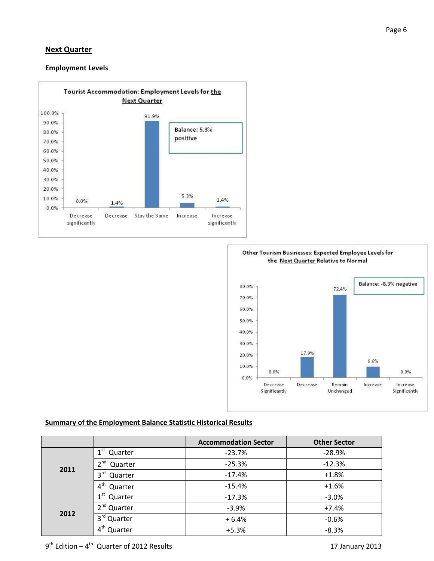#### **Next Quarter**

#### **Employment Levels**





#### **Summary of the Employment Balance Statistic Historical Results**

|      |                            | <b>Accommodation Sector</b> | <b>Other Sector</b> |  |
|------|----------------------------|-----------------------------|---------------------|--|
|      | 1 <sup>st</sup><br>Quarter | $-23.7%$                    | $-28.9%$            |  |
|      | 2 <sub>nd</sub><br>Quarter | $-25.3%$                    | $-12.3%$            |  |
| 2011 | 3 <sup>rd</sup><br>Quarter | $-17.4%$                    | $+1.8%$             |  |
|      | $4^{\text{th}}$<br>Quarter | $-15.4%$                    | $+1.6%$             |  |
|      | 1 <sup>st</sup><br>Quarter | $-17.3%$                    | $-3.0%$             |  |
| 2012 | 2 <sup>nd</sup> Quarter    | $-3.9%$                     | $+7.4%$             |  |
|      | 3 <sup>rd</sup> Quarter    | $+6.4%$                     | $-0.6%$             |  |
|      | Quarter                    | $+5.3%$                     | $-8.3%$             |  |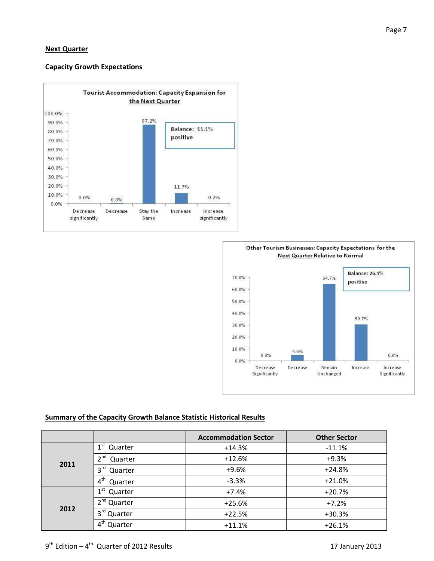#### **Next Quarter**

#### **Capacity Growth Expectations**





#### **Summary of the Capacity Growth Balance Statistic Historical Results**

|      |                                                  | <b>Accommodation Sector</b> | <b>Other Sector</b> |  |
|------|--------------------------------------------------|-----------------------------|---------------------|--|
|      | 1 <sup>st</sup><br>Quarter                       | $+14.3%$                    | $-11.1%$            |  |
| 2011 | $\mathbf{a}$ <sup>nd</sup><br>Quarter            | $+12.6%$                    | $+9.3%$             |  |
|      | $3^{\text{rd}}$<br>Quarter                       | $+9.6%$                     | $+24.8%$            |  |
|      | 4 <sup>th</sup><br>Quarter                       | $-3.3%$                     | $+21.0%$            |  |
|      | 1 <sup>st</sup><br>Quarter                       | $+7.4%$                     | $+20.7%$            |  |
|      | 2 <sup>nd</sup> Quarter                          | $+25.6%$                    | $+7.2%$             |  |
| 2012 | 3 <sup>rd</sup> Quarter                          | $+22.5%$                    | $+30.3%$            |  |
|      | $\boldsymbol{\varLambda}^\textsf{th}$<br>Quarter | $+11.1%$                    | $+26.1%$            |  |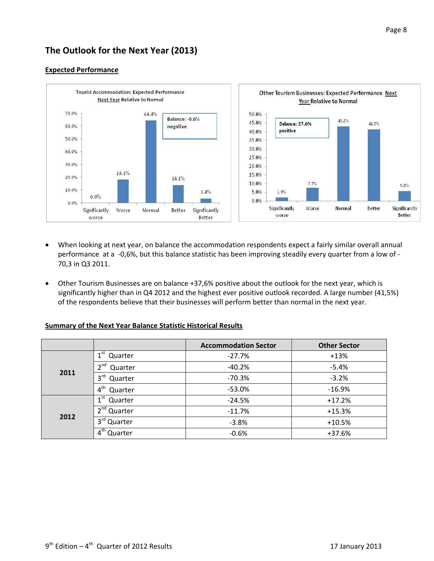# **The Outlook for the Next Year (2013)**



#### **Expected Performance**

- When looking at next year, on balance the accommodation respondents expect a fairly similar overall annual performance at a -0,6%, but this balance statistic has been improving steadily every quarter from a low of - 70,3 in Q3 2011.
- Other Tourism Businesses are on balance +37,6% positive about the outlook for the next year, which is significantly higher than in Q4 2012 and the highest ever positive outlook recorded. A large number (41,5%) of the respondents believe that their businesses will perform better than normal in the next year.

#### **Summary of the Next Year Balance Statistic Historical Results**

|      |                            | <b>Accommodation Sector</b> | <b>Other Sector</b> |  |
|------|----------------------------|-----------------------------|---------------------|--|
|      | 1 <sup>st</sup><br>Quarter | $-27.7%$                    | $+13%$              |  |
|      | $\mathbf{a}$ nd<br>Quarter | $-40.2%$                    | $-5.4%$             |  |
| 2011 | 3 <sup>rd</sup><br>Quarter | $-70.3%$                    | $-3.2%$             |  |
|      | 4 <sup>th</sup><br>Quarter | $-53.0%$                    | $-16.9%$            |  |
|      | $1^{\rm st}$<br>Quarter    | $-24.5%$                    | $+17.2%$            |  |
| 2012 | 2 <sup>nd</sup><br>Quarter | $-11.7%$                    | $+15.3%$            |  |
|      | $3rd$ Quarter              | $-3.8%$                     | $+10.5%$            |  |
|      | $4^{\text{th}}$<br>Quarter | $-0.6%$                     | $+37.6%$            |  |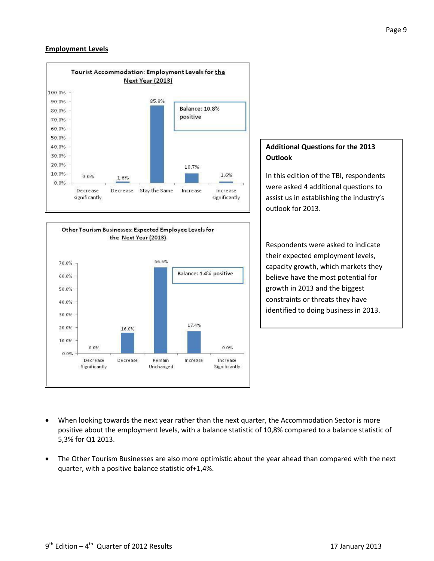#### **Employment Levels**





### **Additional Questions for the 2013 Outlook**

In this edition of the TBI, respondents were asked 4 additional questions to assist us in establishing the industry's outlook for 2013.

Respondents were asked to indicate their expected employment levels, capacity growth, which markets they believe have the most potential for growth in 2013 and the biggest constraints or threats they have identified to doing business in 2013.

- When looking towards the next year rather than the next quarter, the Accommodation Sector is more positive about the employment levels, with a balance statistic of 10,8% compared to a balance statistic of 5,3% for Q1 2013.
- The Other Tourism Businesses are also more optimistic about the year ahead than compared with the next quarter, with a positive balance statistic of+1,4%.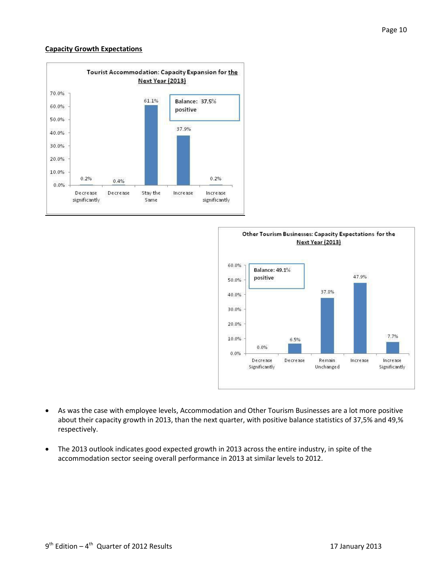#### **Capacity Growth Expectations**





- As was the case with employee levels, Accommodation and Other Tourism Businesses are a lot more positive about their capacity growth in 2013, than the next quarter, with positive balance statistics of 37,5% and 49,% respectively.
- The 2013 outlook indicates good expected growth in 2013 across the entire industry, in spite of the accommodation sector seeing overall performance in 2013 at similar levels to 2012.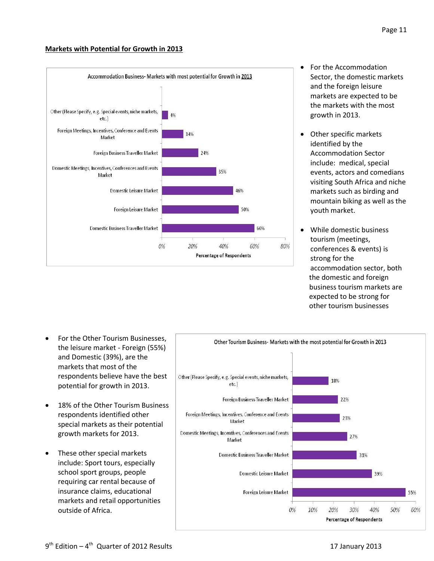#### **Markets with Potential for Growth in 2013**



- For the Accommodation Sector, the domestic markets and the foreign leisure markets are expected to be the markets with the most growth in 2013.
- Other specific markets identified by the Accommodation Sector include: medical, special events, actors and comedians visiting South Africa and niche markets such as birding and mountain biking as well as the youth market.
- While domestic business tourism (meetings, conferences & events) is strong for the accommodation sector, both the domestic and foreign business tourism markets are expected to be strong for other tourism businesses

- For the Other Tourism Businesses, the leisure market - Foreign (55%) and Domestic (39%), are the markets that most of the respondents believe have the best potential for growth in 2013.
- 18% of the Other Tourism Business respondents identified other special markets as their potential growth markets for 2013.
- These other special markets include: Sport tours, especially school sport groups, people requiring car rental because of insurance claims, educational markets and retail opportunities outside of Africa.

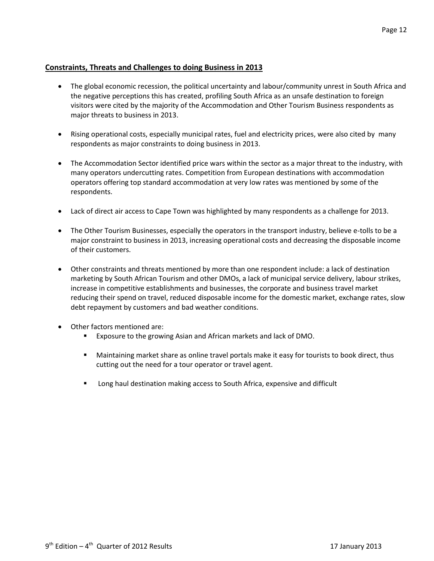#### **Constraints, Threats and Challenges to doing Business in 2013**

- The global economic recession, the political uncertainty and labour/community unrest in South Africa and the negative perceptions this has created, profiling South Africa as an unsafe destination to foreign visitors were cited by the majority of the Accommodation and Other Tourism Business respondents as major threats to business in 2013.
- Rising operational costs, especially municipal rates, fuel and electricity prices, were also cited by many respondents as major constraints to doing business in 2013.
- The Accommodation Sector identified price wars within the sector as a major threat to the industry, with many operators undercutting rates. Competition from European destinations with accommodation operators offering top standard accommodation at very low rates was mentioned by some of the respondents.
- Lack of direct air access to Cape Town was highlighted by many respondents as a challenge for 2013.
- The Other Tourism Businesses, especially the operators in the transport industry, believe e-tolls to be a major constraint to business in 2013, increasing operational costs and decreasing the disposable income of their customers.
- Other constraints and threats mentioned by more than one respondent include: a lack of destination marketing by South African Tourism and other DMOs, a lack of municipal service delivery, labour strikes, increase in competitive establishments and businesses, the corporate and business travel market reducing their spend on travel, reduced disposable income for the domestic market, exchange rates, slow debt repayment by customers and bad weather conditions.
- Other factors mentioned are:
	- Exposure to the growing Asian and African markets and lack of DMO.
	- Maintaining market share as online travel portals make it easy for tourists to book direct, thus cutting out the need for a tour operator or travel agent.
	- Long haul destination making access to South Africa, expensive and difficult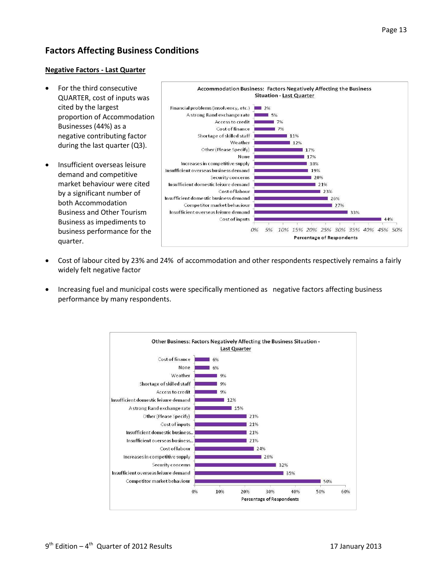# **Factors Affecting Business Conditions**

#### **Negative Factors - Last Quarter**

- For the third consecutive QUARTER, cost of inputs was cited by the largest proportion of Accommodation Businesses (44%) as a negative contributing factor during the last quarter (Q3).
- Insufficient overseas leisure demand and competitive market behaviour were cited by a significant number of both Accommodation Business and Other Tourism Business as impediments to business performance for the quarter.



- Cost of labour cited by 23% and 24% of accommodation and other respondents respectively remains a fairly widely felt negative factor
- Increasing fuel and municipal costs were specifically mentioned as negative factors affecting business performance by many respondents.

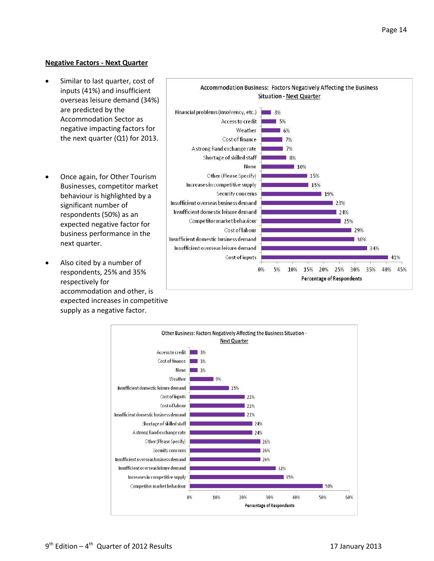#### **Negative Factors - Next Quarter**

- Similar to last quarter, cost of inputs (41%) and insufficient overseas leisure demand (34%) are predicted by the Accommodation Sector as negative impacting factors for the next quarter (Q1) for 2013.
- Once again, for Other Tourism Businesses, competitor market behaviour is highlighted by a significant number of respondents (50%) as an expected negative factor for business performance in the next quarter.
- Also cited by a number of respondents, 25% and 35% respectively for accommodation and other, is expected increases in competitive supply as a negative factor.



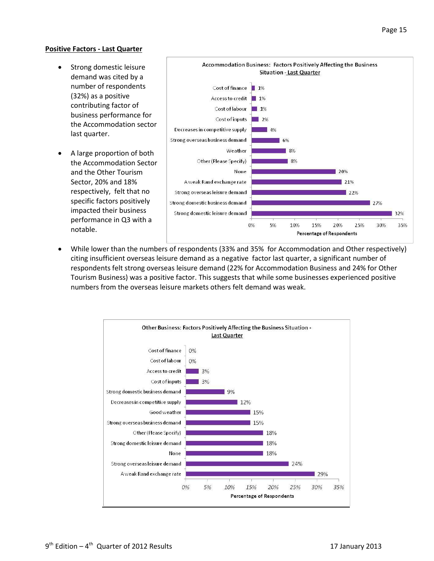#### **Positive Factors - Last Quarter**

- Strong domestic leisure demand was cited by a number of respondents (32%) as a positive contributing factor of business performance for the Accommodation sector last quarter.
- A large proportion of both the Accommodation Sector and the Other Tourism Sector, 20% and 18% respectively, felt that no specific factors positively impacted their business performance in Q3 with a notable.



 While lower than the numbers of respondents (33% and 35% for Accommodation and Other respectively) citing insufficient overseas leisure demand as a negative factor last quarter, a significant number of respondents felt strong overseas leisure demand (22% for Accommodation Business and 24% for Other Tourism Business) was a positive factor. This suggests that while some businesses experienced positive numbers from the overseas leisure markets others felt demand was weak.

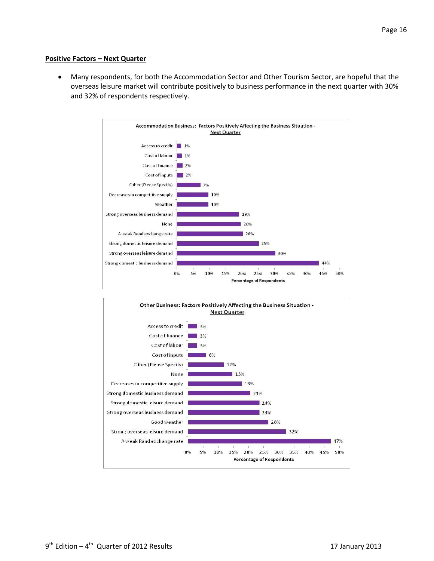#### **Positive Factors – Next Quarter**

 Many respondents, for both the Accommodation Sector and Other Tourism Sector, are hopeful that the overseas leisure market will contribute positively to business performance in the next quarter with 30% and 32% of respondents respectively.



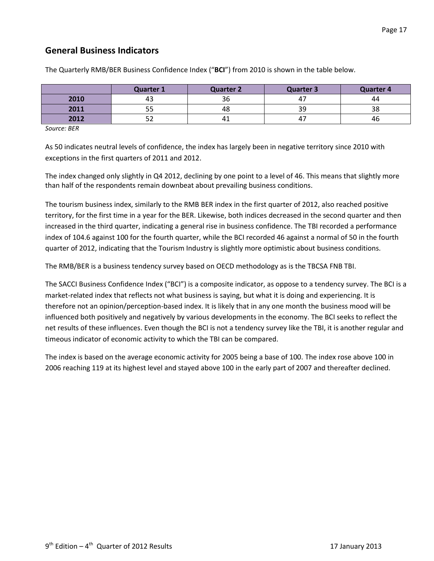## **General Business Indicators**

|      | Quarter 1 | <b>Quarter 2</b> | <b>Quarter 3</b> | <b>Quarter 4</b> |
|------|-----------|------------------|------------------|------------------|
| 2010 | 43        | 36               | 47               | 44               |
| 2011 | ر ر       | 48               | 39               | 38               |
| 2012 | ے ر       | 41               | 47               | 46               |

The Quarterly RMB/BER Business Confidence Index ("**BCI**") from 2010 is shown in the table below.

*Source: BER*

As 50 indicates neutral levels of confidence, the index has largely been in negative territory since 2010 with exceptions in the first quarters of 2011 and 2012.

The index changed only slightly in Q4 2012, declining by one point to a level of 46. This means that slightly more than half of the respondents remain downbeat about prevailing business conditions.

The tourism business index, similarly to the RMB BER index in the first quarter of 2012, also reached positive territory, for the first time in a year for the BER. Likewise, both indices decreased in the second quarter and then increased in the third quarter, indicating a general rise in business confidence. The TBI recorded a performance index of 104.6 against 100 for the fourth quarter, while the BCI recorded 46 against a normal of 50 in the fourth quarter of 2012, indicating that the Tourism Industry is slightly more optimistic about business conditions.

The RMB/BER is a business tendency survey based on OECD methodology as is the TBCSA FNB TBI.

The SACCI Business Confidence Index ("BCI") is a composite indicator, as oppose to a tendency survey. The BCI is a market-related index that reflects not what business is saying, but what it is doing and experiencing. It is therefore not an opinion/perception-based index. It is likely that in any one month the business mood will be influenced both positively and negatively by various developments in the economy. The BCI seeks to reflect the net results of these influences. Even though the BCI is not a tendency survey like the TBI, it is another regular and timeous indicator of economic activity to which the TBI can be compared.

The index is based on the average economic activity for 2005 being a base of 100. The index rose above 100 in 2006 reaching 119 at its highest level and stayed above 100 in the early part of 2007 and thereafter declined.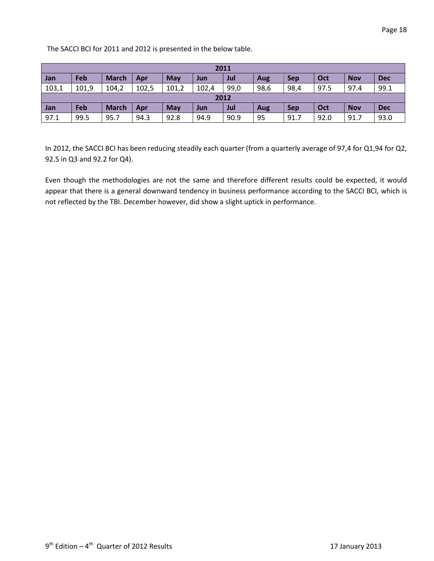The SACCI BCI for 2011 and 2012 is presented in the below table.

| 2011  |       |              |       |       |       |      |      |            |      |            |            |
|-------|-------|--------------|-------|-------|-------|------|------|------------|------|------------|------------|
| Jan   | Feb   | <b>March</b> | Apr   | May   | Jun   | Jul  | Aug  | <b>Sep</b> | Oct  | <b>Nov</b> | <b>Dec</b> |
| 103,1 | 101,9 | 104,2        | 102,5 | 101,2 | 102,4 | 99,0 | 98,6 | 98,4       | 97.5 | 97.4       | 99.1       |
| 2012  |       |              |       |       |       |      |      |            |      |            |            |
| Jan   | Feb   | <b>March</b> | Apr   | May   | Jun   | Jul  | Aug  | <b>Sep</b> | Oct  | <b>Nov</b> | <b>Dec</b> |
| 97.1  | 99.5  | 95.7         | 94.3  | 92.8  | 94.9  | 90.9 | 95   | 91.7       | 92.0 | 91.7       | 93.0       |

In 2012, the SACCI BCI has been reducing steadily each quarter (from a quarterly average of 97,4 for Q1,94 for Q2, 92.5 in Q3 and 92.2 for Q4).

Even though the methodologies are not the same and therefore different results could be expected, it would appear that there is a general downward tendency in business performance according to the SACCI BCI, which is not reflected by the TBI. December however, did show a slight uptick in performance.